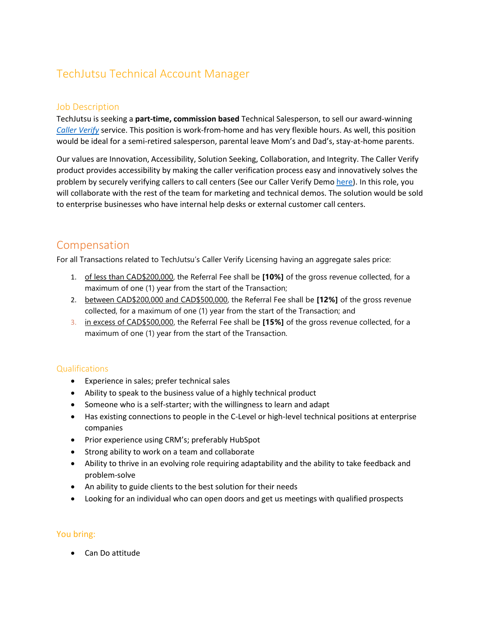# TechJutsu Technical Account Manager

### Job Description

TechJutsu is seeking a **part-time, commission based** Technical Salesperson, to sell our award-winning *[Caller Verify](https://www.techjutsu.ca/post/customer-verification)* service. This position is work-from-home and has very flexible hours. As well, this position would be ideal for a semi-retired salesperson, parental leave Mom's and Dad's, stay-at-home parents.

Our values are Innovation, Accessibility, Solution Seeking, Collaboration, and Integrity. The Caller Verify product provides accessibility by making the caller verification process easy and innovatively solves the problem by securely verifying callers to call centers (See our Caller Verify Dem[o here\)](https://youtu.be/JYE-1bShU2s). In this role, you will collaborate with the rest of the team for marketing and technical demos. The solution would be sold to enterprise businesses who have internal help desks or external customer call centers.

## Compensation

For all Transactions related to TechJutsu's Caller Verify Licensing having an aggregate sales price:

- 1. of less than CAD\$200,000, the Referral Fee shall be **[10%]** of the gross revenue collected, for a maximum of one (1) year from the start of the Transaction;
- 2. between CAD\$200,000 and CAD\$500,000, the Referral Fee shall be **[12%]** of the gross revenue collected, for a maximum of one (1) year from the start of the Transaction; and
- 3. in excess of CAD\$500,000, the Referral Fee shall be **[15%]** of the gross revenue collected, for a maximum of one (1) year from the start of the Transaction.

#### Qualifications

- Experience in sales; prefer technical sales
- Ability to speak to the business value of a highly technical product
- Someone who is a self-starter; with the willingness to learn and adapt
- Has existing connections to people in the C-Level or high-level technical positions at enterprise companies
- Prior experience using CRM's; preferably HubSpot
- Strong ability to work on a team and collaborate
- Ability to thrive in an evolving role requiring adaptability and the ability to take feedback and problem-solve
- An ability to guide clients to the best solution for their needs
- Looking for an individual who can open doors and get us meetings with qualified prospects

#### You bring:

• Can Do attitude